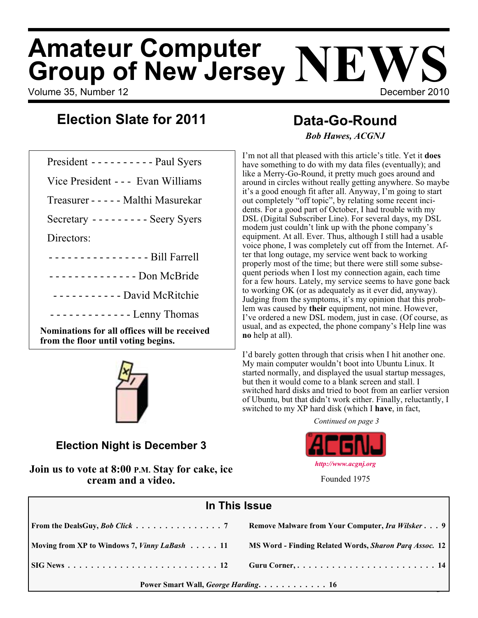# **Amateur Computer Group of New Jersey NEWS**

Volume 35, Number 12 **December 2010** 

## **Data-Go-Round**

President ---------- Paul Syers

**Election Slate for 2011**

Vice President - - - Evan Williams

Treasurer ----- Malthi Masurekar

Secretary --------- Seery Syers

Directors:

---------------- Bill Farrell

- - - - - - - - - - - - - - Don McBride

----------- David McRitchie

------------- Lenny Thomas

**Nominations for all offices will be received from the floor until voting begins.**



**Election Night is December 3**

**Join us to vote at 8:00 P.M. Stay for cake, ice cream and a video.**

# *Bob Hawes, ACGNJ*

I'm not all that pleased with this article's title. Yet it **does** have something to do with my data files (eventually); and like a Merry-Go-Round, it pretty much goes around and around in circles without really getting anywhere. So maybe it's a good enough fit after all. Anyway, I'm going to start out completely "off topic", by relating some recent incidents. For a good part of October, I had trouble with my DSL (Digital Subscriber Line). For several days, my DSL modem just couldn't link up with the phone company's equipment. At all. Ever. Thus, although I still had a usable voice phone, I was completely cut off from the Internet. After that long outage, my service went back to working properly most of the time; but there were still some subsequent periods when I lost my connection again, each time for a few hours. Lately, my service seems to have gone back to working OK (or as adequately as it ever did, anyway). Judging from the symptoms, it's my opinion that this problem was caused by **their** equipment, not mine. However, I've ordered a new DSL modem, just in case. (Of course, as usual, and as expected, the phone company's Help line was **no** help at all).

I'd barely gotten through that crisis when I hit another one. My main computer wouldn't boot into Ubuntu Linux. It started normally, and displayed the usual startup messages, but then it would come to a blank screen and stall. I switched hard disks and tried to boot from an earlier version of Ubuntu, but that didn't work either. Finally, reluctantly, I switched to my XP hard disk (which I **have**, in fact,

*Continued on page 3*



*<http://www.acgnj.org>* Founded 1975

| In This Issue                                |                                                         |  |
|----------------------------------------------|---------------------------------------------------------|--|
|                                              | Remove Malware from Your Computer, <i>Ira Wilsker</i> 9 |  |
| Moving from XP to Windows 7, Vinny LaBash 11 | MS Word - Finding Related Words, Sharon Parq Assoc. 12  |  |
|                                              | Guru Corner,  14                                        |  |
| Power Smart Wall, George Harding. 16         |                                                         |  |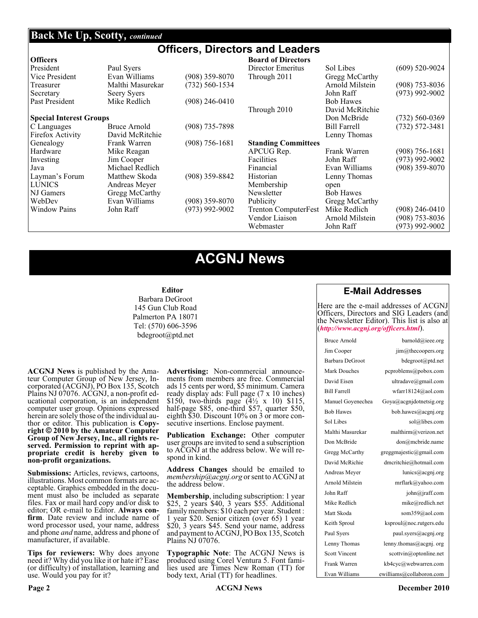#### **Back Me Up, Scotty,** *continued*

#### **Officers, Directors and Leaders**

| <b>Officers</b>                |                  |                    | <b>Board of Directors</b>   |                     |                    |
|--------------------------------|------------------|--------------------|-----------------------------|---------------------|--------------------|
| President                      | Paul Syers       |                    | Director Emeritus           | Sol Libes           | $(609)$ 520-9024   |
| Vice President                 | Evan Williams    | $(908)$ 359-8070   | Through 2011                | Gregg McCarthy      |                    |
| Treasurer                      | Malthi Masurekar | $(732) 560 - 1534$ |                             | Arnold Milstein     | $(908)$ 753-8036   |
| Secretary                      | Seery Syers      |                    |                             | John Raff           | $(973)$ 992-9002   |
| Past President                 | Mike Redlich     | (908) 246-0410     |                             | <b>Bob Hawes</b>    |                    |
|                                |                  |                    | Through 2010                | David McRitchie     |                    |
| <b>Special Interest Groups</b> |                  |                    |                             | Don McBride         | $(732) 560 - 0369$ |
| C Languages                    | Bruce Arnold     | $(908)$ 735-7898   |                             | <b>Bill Farrell</b> | $(732) 572 - 3481$ |
| Firefox Activity               | David McRitchie  |                    |                             | Lenny Thomas        |                    |
| Genealogy                      | Frank Warren     | $(908)$ 756-1681   | <b>Standing Committees</b>  |                     |                    |
| Hardware                       | Mike Reagan      |                    | APCUG Rep.                  | Frank Warren        | $(908) 756 - 1681$ |
| Investing                      | Jim Cooper       |                    | Facilities                  | John Raff           | $(973)$ 992-9002   |
| Java                           | Michael Redlich  |                    | Financial                   | Evan Williams       | $(908)$ 359-8070   |
| Layman's Forum                 | Matthew Skoda    | $(908)$ 359-8842   | Historian                   | Lenny Thomas        |                    |
| <b>LUNICS</b>                  | Andreas Meyer    |                    | Membership                  | open                |                    |
| NJ Gamers                      | Gregg McCarthy   |                    | Newsletter                  | <b>Bob Hawes</b>    |                    |
| WebDev                         | Evan Williams    | $(908)$ 359-8070   | Publicity                   | Gregg McCarthy      |                    |
| <b>Window Pains</b>            | John Raff        | $(973)$ 992-9002   | <b>Trenton ComputerFest</b> | Mike Redlich        | $(908)$ 246-0410   |
|                                |                  |                    | Vendor Liaison              | Arnold Milstein     | $(908)$ 753-8036   |
|                                |                  |                    | Webmaster                   | John Raff           | $(973)$ 992-9002   |

## **ACGNJ News**

#### **Editor**

Barbara DeGroot 145 Gun Club Road Palmerton PA 18071 Tel: (570) 606-3596 bdegroot@ptd.net

**ACGNJ News** is published by the Ama- teur Computer Group of New Jersey, In- corporated (ACGNJ), PO Box 135, Scotch Plains NJ 07076. ACGNJ, a non-profit ed-<br>ucational corporation, is an independent computer user group. Opinions expressed herein are solely those of the individual author or editor. This publication is **Copy-**<br>**right**  $\bigcirc$  2010 by the Amateur Computer<br>**Group of New Jersey, Inc., all rights re-Group of New Jersey, Inc., all rights re- served. Permission to reprint with ap- propriate credit is hereby given to non-profit organizations.**

**Submissions:** Articles, reviews, cartoons, illustrations. Most common formats are ac- ceptable. Graphics embedded in the docu- ment must also be included as separate files. Fax or mail hard copy and/or disk to editor; OR e-mail to Editor. Always confirm. Date review and include name of word processor used, your name, address and phone *and* name, address and phone of manufacturer, if available.

**Tips for reviewers:** Why does anyone need it? Why did you like it or hate it? Ease (or difficulty) of installation, learning and use. Would you pay for it?

**Advertising:** Non-commercial announce- ments from members are free. Commercial ads 15 cents per word, \$5 minimum. Camera ready display ads: Full page (7 x 10 inches) \$150, two-thirds page  $(4\frac{1}{2} \times 10)$  \$115, half-page \$85, one-third \$57, quarter \$50, eighth \$30. Discount 10% on 3 or more con- secutive insertions. Enclose payment.

**Publication Exchange:** Other computer user groups are invited to send a subscription to ACGNJ at the address below. We will re- spond in kind.

**Address Changes** should be emailed to *membership@acgnj.org* or sent to ACGNJ at the address below.

**Membership**, including subscription: 1 year \$25, 2 years \$40, 3 years \$55. Additional family members: \$10 each per year. Student : 1 year \$20. Senior citizen (over 65) 1 year \$20, 3 years \$45. Send your name, address and payment to ACGNJ, PO Box 135, Scotch Plains NJ 07076.

**Typographic Note**: The ACGNJ News is produced using Corel Ventura 5. Font fami- lies used are Times New Roman (TT) for body text, Arial (TT) for headlines.

#### **E-Mail Addresses**

Here are the e-mail addresses of ACGNJ Officers, Directors and SIG Leaders (and the Newsletter Editor). This list is also at (*<http://www.acgnj.org/officers.html>*).

| Bruce Arnold         | barnold@ieee.org                      |
|----------------------|---------------------------------------|
| Jim Cooper           | $\lim$ ( <i>a</i> ) the coopers. or g |
| Barbara DeGroot      | bdegroot@ptd.net                      |
| Mark Douches         | pcproblems@pobox.com                  |
| David Eisen          | ultradave@gmail.com                   |
| <b>Bill Farrell</b>  | wfarr18124@aol.com                    |
| Manuel Goyenechea    | Goya@acgnidotnetsig.org               |
| <b>Bob Hawes</b>     | bob.hawes@acgnj.org                   |
| Sol Libes            | sol@libes.com                         |
| Malthi Masurekar     | malthirm@verizon.net                  |
| Don McBride          | don@mcbride.name                      |
| Gregg McCarthy       | greggmajestic@gmail.com               |
| David McRichie       | dmcritchie@hotmail.com                |
| Andreas Meyer        | lunics@acgnj.org                      |
| Arnold Milstein      | mrflark@yahoo.com                     |
| John Raff            | $\overline{\text{iohn}(a)}$ raff.com  |
| Mike Redlich         | mike@redlich.net                      |
| Matt Skoda           | som359@aol.com                        |
| Keith Sproul         | ksproul@noc.rutgers.edu               |
| Paul Syers           | paul.syers@acgnj.org                  |
| Lenny Thomas         | lenny.thomas@acgnj.org                |
| <b>Scott Vincent</b> | scottvin@optonline.net                |
| Frank Warren         | kb4cyc@webwarren.com                  |
| Evan Williams        | ewilliams@collaboron.com              |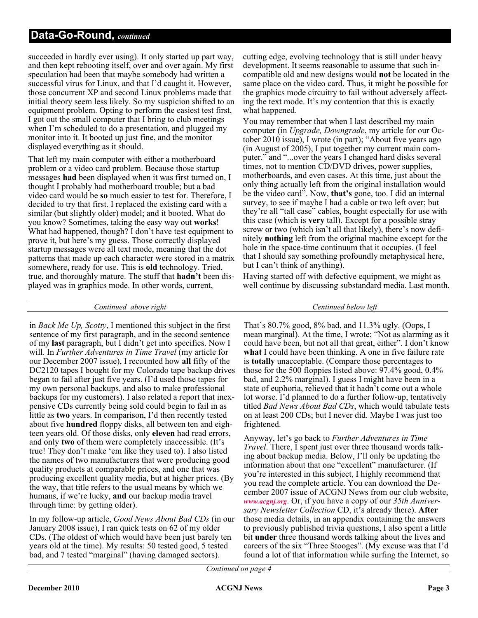succeeded in hardly ever using). It only started up part way, and then kept rebooting itself, over and over again. My first speculation had been that maybe somebody had written a successful virus for Linux, and that I'd caught it. However, those concurrent XP and second Linux problems made that initial theory seem less likely. So my suspicion shifted to an equipment problem. Opting to perform the easiest test first, I got out the small computer that I bring to club meetings when I'm scheduled to do a presentation, and plugged my monitor into it. It booted up just fine, and the monitor displayed everything as it should.

That left my main computer with either a motherboard problem or a video card problem. Because those startup messages **had** been displayed when it was first turned on, I thought I probably had motherboard trouble; but a bad video card would be **so** much easier to test for. Therefore, I decided to try that first. I replaced the existing card with a similar (but slightly older) model; and it booted. What do you know? Sometimes, taking the easy way out **works**! What had happened, though? I don't have test equipment to prove it, but here's my guess. Those correctly displayed startup messages were all text mode, meaning that the dot patterns that made up each character were stored in a matrix somewhere, ready for use. This is **old** technology. Tried, true, and thoroughly mature. The stuff that **hadn't** been displayed was in graphics mode. In other words, current,

cutting edge, evolving technology that is still under heavy development. It seems reasonable to assume that such incompatible old and new designs would **not** be located in the same place on the video card. Thus, it might be possible for the graphics mode circuitry to fail without adversely affecting the text mode. It's my contention that this is exactly what happened.

You may remember that when I last described my main computer (in *Upgrade, Downgrade*, my article for our October 2010 issue), I wrote (in part); "About five years ago (in August of 2005), I put together my current main computer." and "...over the years I changed hard disks several times, not to mention CD/DVD drives, power supplies, motherboards, and even cases. At this time, just about the only thing actually left from the original installation would be the video card". Now, **that's** gone, too. I did an internal survey, to see if maybe I had a cable or two left over; but they're all "tall case" cables, bought especially for use with this case (which is **very** tall). Except for a possible stray screw or two (which isn't all that likely), there's now definitely **nothing** left from the original machine except for the hole in the space-time continuum that it occupies. (I feel that I should say something profoundly metaphysical here, but I can't think of anything).

Having started off with defective equipment, we might as well continue by discussing substandard media. Last month,

#### *Continued above right Centinued below left*

in *Back Me Up, Scotty*, I mentioned this subject in the first sentence of my first paragraph, and in the second sentence of my **last** paragraph, but I didn't get into specifics. Now I will. In *Further Adventures in Time Travel* (my article for our December 2007 issue), I recounted how **all** fifty of the DC2120 tapes I bought for my Colorado tape backup drives began to fail after just five years. (I'd used those tapes for my own personal backups, and also to make professional backups for my customers). I also related a report that inexpensive CDs currently being sold could begin to fail in as little as **two** years. In comparison, I'd then recently tested about five **hundred** floppy disks, all between ten and eighteen years old. Of those disks, only **eleven** had read errors, and only **two** of them were completely inaccessible. (It's true! They don't make 'em like they used to). I also listed the names of two manufacturers that were producing good quality products at comparable prices, and one that was producing excellent quality media, but at higher prices. (By the way, that title refers to the usual means by which we humans, if we're lucky, **and** our backup media travel through time: by getting older).

In my follow-up article, *Good News About Bad CDs* (in our January 2008 issue), I ran quick tests on 62 of my older CDs. (The oldest of which would have been just barely ten years old at the time). My results: 50 tested good, 5 tested bad, and 7 tested "marginal" (having damaged sectors).

That's 80.7% good, 8% bad, and 11.3% ugly. (Oops, I mean marginal). At the time, I wrote; "Not as alarming as it could have been, but not all that great, either". I don't know **what** I could have been thinking. A one in five failure rate is **totally** unacceptable. (Compare those percentages to those for the 500 floppies listed above: 97.4% good, 0.4% bad, and 2.2% marginal). I guess I might have been in a state of euphoria, relieved that it hadn't come out a whole lot worse. I'd planned to do a further follow-up, tentatively titled *Bad News About Bad CDs*, which would tabulate tests on at least 200 CDs; but I never did. Maybe I was just too frightened.

Anyway, let's go back to *Further Adventures in Time Travel*. There, I spent just over three thousand words talking about backup media. Below, I'll only be updating the information about that one "excellent" manufacturer. (If you're interested in this subject, I highly recommend that you read the complete article. You can download the December 2007 issue of ACGNJ News from our club website, *[www.acgnj.org](http://www.acgnj.org)*. Or, if you have a copy of our *35th Anniversary Newsletter Collection* CD, it's already there). **After** those media details, in an appendix containing the answers to previously published trivia questions, I also spent a little bit **under** three thousand words talking about the lives and careers of the six "Three Stooges". (My excuse was that I'd found a lot of that information while surfing the Internet, so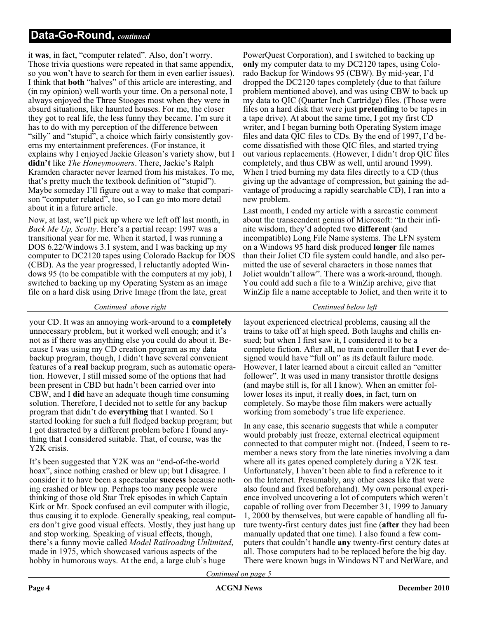it **was**, in fact, "computer related". Also, don't worry. Those trivia questions were repeated in that same appendix, so you won't have to search for them in even earlier issues). I think that **both** "halves" of this article are interesting, and (in my opinion) well worth your time. On a personal note, I always enjoyed the Three Stooges most when they were in absurd situations, like haunted houses. For me, the closer they got to real life, the less funny they became. I'm sure it has to do with my perception of the difference between "silly" and "stupid", a choice which fairly consistently governs my entertainment preferences. (For instance, it explains why I enjoyed Jackie Gleason's variety show, but I **didn't** like *The Honeymooners*. There, Jackie's Ralph Kramden character never learned from his mistakes. To me, that's pretty much the textbook definition of "stupid"). Maybe someday I'll figure out a way to make that comparison "computer related", too, so I can go into more detail about it in a future article.

Now, at last, we'll pick up where we left off last month, in *Back Me Up, Scotty*. Here's a partial recap: 1997 was a transitional year for me. When it started, I was running a DOS 6.22/Windows 3.1 system, and I was backing up my computer to DC2120 tapes using Colorado Backup for DOS (CBD). As the year progressed, I reluctantly adopted Windows 95 (to be compatible with the computers at my job), I switched to backing up my Operating System as an image file on a hard disk using Drive Image (from the late, great

PowerQuest Corporation), and I switched to backing up **only** my computer data to my DC2120 tapes, using Colorado Backup for Windows 95 (CBW). By mid-year, I'd dropped the DC2120 tapes completely (due to that failure problem mentioned above), and was using CBW to back up my data to QIC (Quarter Inch Cartridge) files. (Those were files on a hard disk that were just **pretending** to be tapes in a tape drive). At about the same time, I got my first CD writer, and I began burning both Operating System image files and data QIC files to CDs. By the end of 1997, I'd become dissatisfied with those QIC files, and started trying out various replacements. (However, I didn't drop QIC files completely, and thus CBW as well, until around 1999). When I tried burning my data files directly to a CD (thus giving up the advantage of compression, but gaining the advantage of producing a rapidly searchable CD), I ran into a new problem.

Last month, I ended my article with a sarcastic comment about the transcendent genius of Microsoft: "In their infinite wisdom, they'd adopted two **different** (and incompatible) Long File Name systems. The LFN system on a Windows 95 hard disk produced **longer** file names than their Joliet CD file system could handle, and also permitted the use of several characters in those names that Joliet wouldn't allow". There was a work-around, though. You could add such a file to a WinZip archive, give that WinZip file a name acceptable to Joliet, and then write it to

*Continued above right Centinued below left*

your CD. It was an annoying work-around to a **completely** unnecessary problem, but it worked well enough; and it's not as if there was anything else you could do about it. Because I was using my CD creation program as my data backup program, though, I didn't have several convenient features of a **real** backup program, such as automatic operation. However, I still missed some of the options that had been present in CBD but hadn't been carried over into CBW, and I **did** have an adequate though time consuming solution. Therefore, I decided not to settle for any backup program that didn't do **everything** that I wanted. So I started looking for such a full fledged backup program; but I got distracted by a different problem before I found anything that I considered suitable. That, of course, was the Y2K crisis.

It's been suggested that Y2K was an "end-of-the-world hoax", since nothing crashed or blew up; but I disagree. I consider it to have been a spectacular **success** because nothing crashed or blew up. Perhaps too many people were thinking of those old Star Trek episodes in which Captain Kirk or Mr. Spock confused an evil computer with illogic, thus causing it to explode. Generally speaking, real computers don't give good visual effects. Mostly, they just hang up and stop working. Speaking of visual effects, though, there's a funny movie called *Model Railroading Unlimited*, made in 1975, which showcased various aspects of the hobby in humorous ways. At the end, a large club's huge

layout experienced electrical problems, causing all the trains to take off at high speed. Both laughs and chills ensued; but when I first saw it, I considered it to be a complete fiction. After all, no train controller that **I** ever designed would have "full on" as its default failure mode. However, I later learned about a circuit called an "emitter follower". It was used in many transistor throttle designs (and maybe still is, for all I know). When an emitter follower loses its input, it really **does**, in fact, turn on completely. So maybe those film makers were actually working from somebody's true life experience.

In any case, this scenario suggests that while a computer would probably just freeze, external electrical equipment connected to that computer might not. (Indeed, I seem to remember a news story from the late nineties involving a dam where all its gates opened completely during a Y2K test. Unfortunately, I haven't been able to find a reference to it on the Internet. Presumably, any other cases like that were also found and fixed beforehand). My own personal experience involved uncovering a lot of computers which weren't capable of rolling over from December 31, 1999 to January 1, 2000 by themselves, but were capable of handling all future twenty-first century dates just fine (**after** they had been manually updated that one time). I also found a few computers that couldn't handle **any** twenty-first century dates at all. Those computers had to be replaced before the big day. There were known bugs in Windows NT and NetWare, and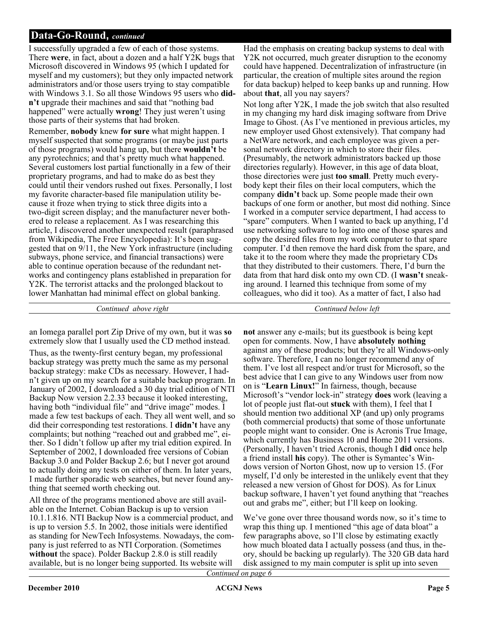I successfully upgraded a few of each of those systems. There **were**, in fact, about a dozen and a half Y2K bugs that Microsoft discovered in Windows 95 (which I updated for myself and my customers); but they only impacted network administrators and/or those users trying to stay compatible with Windows 3.1. So all those Windows 95 users who **didn't** upgrade their machines and said that "nothing bad happened" were actually **wrong**! They just weren't using those parts of their systems that had broken.

Remember, **nobody** knew **for sure** what might happen. I myself suspected that some programs (or maybe just parts of those programs) would hang up, but there **wouldn't** be any pyrotechnics; and that's pretty much what happened. Several customers lost partial functionally in a few of their proprietary programs, and had to make do as best they could until their vendors rushed out fixes. Personally, I lost my favorite character-based file manipulation utility because it froze when trying to stick three digits into a two-digit screen display; and the manufacturer never bothered to release a replacement. As I was researching this article, I discovered another unexpected result (paraphrased from Wikipedia, The Free Encyclopedia): It's been suggested that on 9/11, the New York infrastructure (including subways, phone service, and financial transactions) were able to continue operation because of the redundant networks and contingency plans established in preparation for Y2K. The terrorist attacks and the prolonged blackout to lower Manhattan had minimal effect on global banking.

Had the emphasis on creating backup systems to deal with Y2K not occurred, much greater disruption to the economy could have happened. Decentralization of infrastructure (in particular, the creation of multiple sites around the region for data backup) helped to keep banks up and running. How about **that**, all you nay sayers?

Not long after Y2K, I made the job switch that also resulted in my changing my hard disk imaging software from Drive Image to Ghost. (As I've mentioned in previous articles, my new employer used Ghost extensively). That company had a NetWare network, and each employee was given a personal network directory in which to store their files. (Presumably, the network administrators backed up those directories regularly). However, in this age of data bloat, those directories were just **too small**. Pretty much everybody kept their files on their local computers, which the company **didn't** back up. Some people made their own backups of one form or another, but most did nothing. Since I worked in a computer service department, I had access to "spare" computers. When I wanted to back up anything, I'd use networking software to log into one of those spares and copy the desired files from my work computer to that spare computer. I'd then remove the hard disk from the spare, and take it to the room where they made the proprietary CDs that they distributed to their customers. There, I'd burn the data from that hard disk onto my own CD. (I **wasn't** sneaking around. I learned this technique from some of my colleagues, who did it too). As a matter of fact, I also had

an Iomega parallel port Zip Drive of my own, but it was **so** extremely slow that I usually used the CD method instead.

Thus, as the twenty-first century began, my professional backup strategy was pretty much the same as my personal backup strategy: make CDs as necessary. However, I hadn't given up on my search for a suitable backup program. In January of 2002, I downloaded a 30 day trial edition of NTI Backup Now version 2.2.33 because it looked interesting, having both "individual file" and "drive image" modes. I made a few test backups of each. They all went well, and so did their corresponding test restorations. I **didn't** have any complaints; but nothing "reached out and grabbed me", either. So I didn't follow up after my trial edition expired. In September of 2002, I downloaded free versions of Cobian Backup 3.0 and Polder Backup 2.6; but I never got around to actually doing any tests on either of them. In later years, I made further sporadic web searches, but never found anything that seemed worth checking out.

All three of the programs mentioned above are still available on the Internet. Cobian Backup is up to version 10.1.1.816. NTI Backup Now is a commercial product, and is up to version 5.5. In 2002, those initials were identified as standing for NewTech Infosystems. Nowadays, the company is just referred to as NTI Corporation. (Sometimes **without** the space). Polder Backup 2.8.0 is still readily available, but is no longer being supported. Its website will

*Continued above right Continued below left*

**not** answer any e-mails; but its guestbook is being kept open for comments. Now, I have **absolutely nothing** against any of these products; but they're all Windows-only software. Therefore, I can no longer recommend any of them. I've lost all respect and/or trust for Microsoft, so the best advice that I can give to any Windows user from now on is "**Learn Linux!**" In fairness, though, because Microsoft's "vendor lock-in" strategy **does** work (leaving a lot of people just flat-out **stuck** with them), I feel that I should mention two additional XP (and up) only programs (both commercial products) that some of those unfortunate people might want to consider. One is Acronis True Image, which currently has Business 10 and Home 2011 versions. (Personally, I haven't tried Acronis, though I **did** once help a friend install **his** copy). The other is Symantec's Windows version of Norton Ghost, now up to version 15. (For myself, I'd only be interested in the unlikely event that they released a new version of Ghost for DOS). As for Linux backup software, I haven't yet found anything that "reaches out and grabs me", either; but I'll keep on looking.

We've gone over three thousand words now, so it's time to wrap this thing up. I mentioned "this age of data bloat" a few paragraphs above, so I'll close by estimating exactly how much bloated data I actually possess (and thus, in theory, should be backing up regularly). The 320 GB data hard disk assigned to my main computer is split up into seven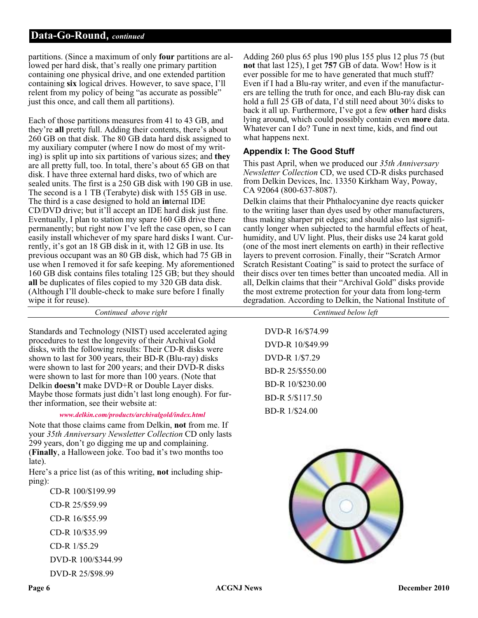partitions. (Since a maximum of only **four** partitions are allowed per hard disk, that's really one primary partition containing one physical drive, and one extended partition containing **six** logical drives. However, to save space, I'll relent from my policy of being "as accurate as possible" just this once, and call them all partitions).

Each of those partitions measures from 41 to 43 GB, and they're **all** pretty full. Adding their contents, there's about 260 GB on that disk. The 80 GB data hard disk assigned to my auxiliary computer (where I now do most of my writing) is split up into six partitions of various sizes; and **they** are all pretty full, too. In total, there's about 65 GB on that disk. I have three external hard disks, two of which are sealed units. The first is a 250 GB disk with 190 GB in use. The second is a 1 TB (Terabyte) disk with 155 GB in use. The third is a case designed to hold an **in**ternal IDE CD/DVD drive; but it'll accept an IDE hard disk just fine. Eventually, I plan to station my spare 160 GB drive there permanently; but right now I've left the case open, so I can easily install whichever of my spare hard disks I want. Currently, it's got an 18 GB disk in it, with 12 GB in use. Its previous occupant was an 80 GB disk, which had 75 GB in use when I removed it for safe keeping. My aforementioned 160 GB disk contains files totaling 125 GB; but they should **all** be duplicates of files copied to my 320 GB data disk. (Although I'll double-check to make sure before I finally wipe it for reuse).

Standards and Technology (NIST) used accelerated aging procedures to test the longevity of their Archival Gold disks, with the following results: Their CD-R disks were shown to last for 300 years, their BD-R (Blu-ray) disks were shown to last for 200 years; and their DVD-R disks were shown to last for more than 100 years. (Note that Delkin **doesn't** make DVD+R or Double Layer disks. Maybe those formats just didn't last long enough). For further information, see their website at:

#### *[www.delkin.com/products/archivalgold/index.html](http://www.delkin.com/products/archivalgold/index.html)*

Note that those claims came from Delkin, **not** from me. If your *35th Anniversary Newsletter Collection* CD only lasts 299 years, don't go digging me up and complaining. (**Finally**, a Halloween joke. Too bad it's two months too late).

Here's a price list (as of this writing, **not** including shipping):

CD-R 100/\$199.99 CD-R 25/\$59.99 CD-R 16/\$55.99 CD-R 10/\$35.99 CD-R 1/\$5.29 DVD-R 100/\$344.99 DVD-R 25/\$98.99

Adding 260 plus 65 plus 190 plus 155 plus 12 plus 75 (but **not** that last 125), I get **757** GB of data. Wow! How is it ever possible for me to have generated that much stuff? Even if I had a Blu-ray writer, and even if the manufacturers are telling the truth for once, and each Blu-ray disk can hold a full 25 GB of data, I'd still need about 30<sup>1</sup>/4 disks to back it all up. Furthermore, I've got a few **other** hard disks lying around, which could possibly contain even **more** data. Whatever can I do? Tune in next time, kids, and find out what happens next.

#### **Appendix I: The Good Stuff**

This past April, when we produced our *35th Anniversary Newsletter Collection* CD, we used CD-R disks purchased from Delkin Devices, Inc. 13350 Kirkham Way, Poway, CA 92064 (800-637-8087).

Delkin claims that their Phthalocyanine dye reacts quicker to the writing laser than dyes used by other manufacturers, thus making sharper pit edges; and should also last significantly longer when subjected to the harmful effects of heat, humidity, and UV light. Plus, their disks use 24 karat gold (one of the most inert elements on earth) in their reflective layers to prevent corrosion. Finally, their "Scratch Armor Scratch Resistant Coating" is said to protect the surface of their discs over ten times better than uncoated media. All in all, Delkin claims that their "Archival Gold" disks provide the most extreme protection for your data from long-term degradation. According to Delkin, the National Institute of

| Continued above right                                                       | Centinued below left |
|-----------------------------------------------------------------------------|----------------------|
|                                                                             |                      |
| nnology (NIST) used accelerated aging                                       | DVD-R 16/\$74.99     |
| he longevity of their Archival Gold<br>owing results: Their CD-R disks were | DVD-R 10/\$49.99     |
| 00 years, their BD-R (Blu-ray) disks                                        | DVD-R 1/\$7.29       |
| for 200 years; and their DVD-R disks<br>for more than 100 years. (Note that | BD-R 25/\$550.00     |
| ke DVD+R or Double Layer disks.                                             | BD-R 10/\$230.00     |
| ats just didn't last long enough). For fur-<br>ee their website at:         | BD-R 5/\$117.50      |
| .com/products/archivalgold/index.html                                       | BD-R 1/\$24.00       |
|                                                                             |                      |

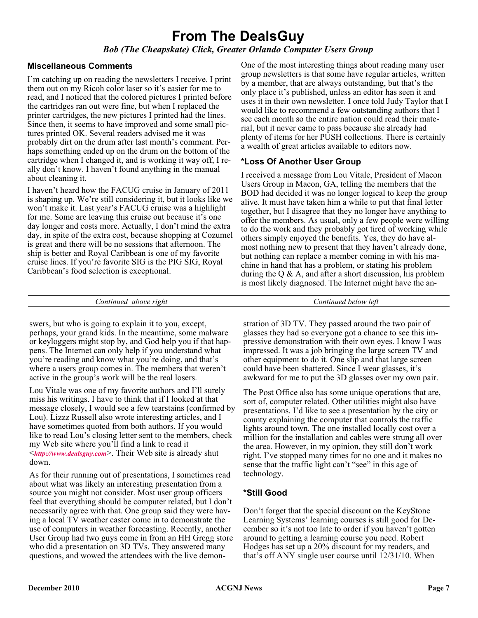## **From The DealsGuy**

#### *Bob (The Cheapskate) Click, Greater Orlando Computer Users Group*

#### **Miscellaneous Comments**

I'm catching up on reading the newsletters I receive. I print them out on my Ricoh color laser so it's easier for me to read, and I noticed that the colored pictures I printed before the cartridges ran out were fine, but when I replaced the printer cartridges, the new pictures I printed had the lines. Since then, it seems to have improved and some small pictures printed OK. Several readers advised me it was probably dirt on the drum after last month's comment. Perhaps something ended up on the drum on the bottom of the cartridge when I changed it, and is working it way off, I really don't know. I haven't found anything in the manual about cleaning it.

I haven't heard how the FACUG cruise in January of 2011 is shaping up. We're still considering it, but it looks like we won't make it. Last year's FACUG cruise was a highlight for me. Some are leaving this cruise out because it's one day longer and costs more. Actually, I don't mind the extra day, in spite of the extra cost, because shopping at Cozumel is great and there will be no sessions that afternoon. The ship is better and Royal Caribbean is one of my favorite cruise lines. If you're favorite SIG is the PIG SIG, Royal Caribbean's food selection is exceptional.

One of the most interesting things about reading many user group newsletters is that some have regular articles, written by a member, that are always outstanding, but that's the only place it's published, unless an editor has seen it and uses it in their own newsletter. I once told Judy Taylor that I would like to recommend a few outstanding authors that I see each month so the entire nation could read their material, but it never came to pass because she already had plenty of items for her PUSH collections. There is certainly a wealth of great articles available to editors now.

#### **\*Loss Of Another User Group**

I received a message from Lou Vitale, President of Macon Users Group in Macon, GA, telling the members that the BOD had decided it was no longer logical to keep the group alive. It must have taken him a while to put that final letter together, but I disagree that they no longer have anything to offer the members. As usual, only a few people were willing to do the work and they probably got tired of working while others simply enjoyed the benefits. Yes, they do have almost nothing new to present that they haven't already done, but nothing can replace a member coming in with his machine in hand that has a problem, or stating his problem during the  $\overline{Q}$  & A, and after a short discussion, his problem is most likely diagnosed. The Internet might have the an-

*Continued above right Continued below left*

swers, but who is going to explain it to you, except, perhaps, your grand kids. In the meantime, some malware or keyloggers might stop by, and God help you if that happens. The Internet can only help if you understand what you're reading and know what you're doing, and that's where a users group comes in. The members that weren't active in the group's work will be the real losers.

Lou Vitale was one of my favorite authors and I'll surely miss his writings. I have to think that if I looked at that message closely, I would see a few tearstains (confirmed by Lou). Lizzz Russell also wrote interesting articles, and I have sometimes quoted from both authors. If you would like to read Lou's closing letter sent to the members, check my Web site where you'll find a link to read it <*<http://www.dealsguy.com>*>. Their Web site is already shut down.

As for their running out of presentations, I sometimes read about what was likely an interesting presentation from a source you might not consider. Most user group officers feel that everything should be computer related, but I don't necessarily agree with that. One group said they were having a local TV weather caster come in to demonstrate the use of computers in weather forecasting. Recently, another User Group had two guys come in from an HH Gregg store who did a presentation on 3D TVs. They answered many questions, and wowed the attendees with the live demonstration of 3D TV. They passed around the two pair of glasses they had so everyone got a chance to see this impressive demonstration with their own eyes. I know I was impressed. It was a job bringing the large screen TV and other equipment to do it. One slip and that large screen could have been shattered. Since I wear glasses, it's awkward for me to put the 3D glasses over my own pair.

The Post Office also has some unique operations that are, sort of, computer related. Other utilities might also have presentations. I'd like to see a presentation by the city or county explaining the computer that controls the traffic lights around town. The one installed locally cost over a million for the installation and cables were strung all over the area. However, in my opinion, they still don't work right. I've stopped many times for no one and it makes no sense that the traffic light can't "see" in this age of technology.

#### **\*Still Good**

Don't forget that the special discount on the KeyStone Learning Systems' learning courses is still good for December so it's not too late to order if you haven't gotten around to getting a learning course you need. Robert Hodges has set up a 20% discount for my readers, and that's off ANY single user course until 12/31/10. When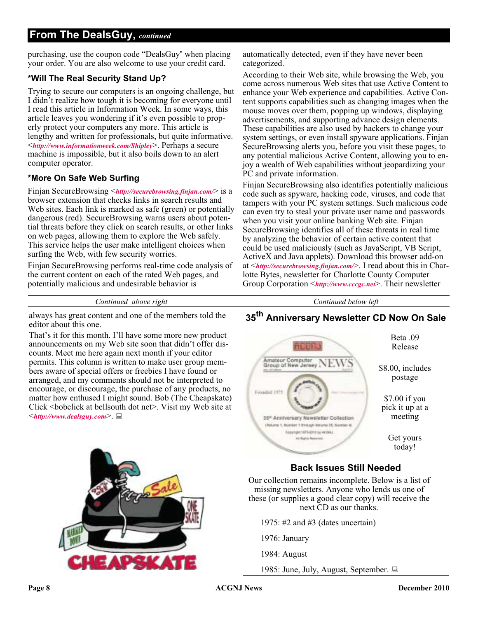#### **From The DealsGuy,** *continued*

purchasing, use the coupon code "DealsGuy" when placing your order. You are also welcome to use your credit card.

#### **\*Will The Real Security Stand Up?**

Trying to secure our computers is an ongoing challenge, but I didn't realize how tough it is becoming for everyone until I read this article in Information Week. In some ways, this article leaves you wondering if it's even possible to properly protect your computers any more. This article is lengthy and written for professionals, but quite informative. <*[http://www.informationweek.com/Shipley](http://www.informationweek.com/news/security/antivirus/showArticle.jhtml?articleID=227700363&queryText=Greg%20Shipley)*>. Perhaps a secure machine is impossible, but it also boils down to an alert computer operator.

#### **\*More On Safe Web Surfing**

Finjan SecureBrowsing <*<http://securebrowsing.finjan.com/>*> is a browser extension that checks links in search results and Web sites. Each link is marked as safe (green) or potentially dangerous (red). SecureBrowsing warns users about potential threats before they click on search results, or other links on web pages, allowing them to explore the Web safely. This service helps the user make intelligent choices when surfing the Web, with few security worries.

Finjan SecureBrowsing performs real-time code analysis of the current content on each of the rated Web pages, and potentially malicious and undesirable behavior is

automatically detected, even if they have never been categorized.

According to their Web site, while browsing the Web, you come across numerous Web sites that use Active Content to enhance your Web experience and capabilities. Active Content supports capabilities such as changing images when the mouse moves over them, popping up windows, displaying advertisements, and supporting advance design elements. These capabilities are also used by hackers to change your system settings, or even install spyware applications. Finjan SecureBrowsing alerts you, before you visit these pages, to any potential malicious Active Content, allowing you to enjoy a wealth of Web capabilities without jeopardizing your PC and private information.

Finjan SecureBrowsing also identifies potentially malicious code such as spyware, hacking code, viruses, and code that tampers with your PC system settings. Such malicious code can even try to steal your private user name and passwords when you visit your online banking Web site. Finjan SecureBrowsing identifies all of these threats in real time by analyzing the behavior of certain active content that could be used maliciously (such as JavaScript, VB Script, ActiveX and Java applets). Download this browser add-on at <*<http://securebrowsing.finjan.com/>*>. I read about this in Charlotte Bytes, newsletter for Charlotte County Computer Group Corporation <*<http://www.cccgc.net>*>. Their newsletter

#### *Continued above right Continued below left*

always has great content and one of the members told the editor about this one.

That's it for this month. I'll have some more new product announcements on my Web site soon that didn't offer discounts. Meet me here again next month if your editor permits. This column is written to make user group members aware of special offers or freebies I have found or arranged, and my comments should not be interpreted to encourage, or discourage, the purchase of any products, no matter how enthused I might sound. Bob (The Cheapskate) Click <br/>Sbobclick at bellsouth dot net>. Visit my Web site at <*<http://www.dealsguy.com>*>.





1976: January

1984: August

1985: June, July, August, September.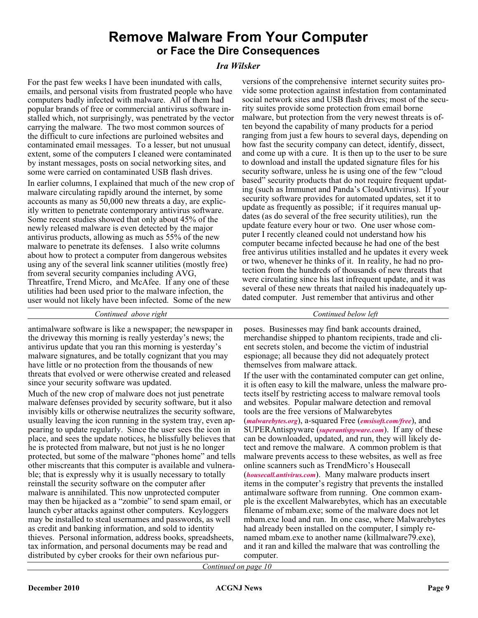### **Remove Malware From Your Computer or Face the Dire Consequences**

#### *Ira Wilsker*

For the past few weeks I have been inundated with calls, emails, and personal visits from frustrated people who have computers badly infected with malware. All of them had popular brands of free or commercial antivirus software installed which, not surprisingly, was penetrated by the vector carrying the malware. The two most common sources of the difficult to cure infections are purloined websites and contaminated email messages. To a lesser, but not unusual extent, some of the computers I cleaned were contaminated by instant messages, posts on social networking sites, and some were carried on contaminated USB flash drives.

In earlier columns, I explained that much of the new crop of malware circulating rapidly around the internet, by some accounts as many as 50,000 new threats a day, are explicitly written to penetrate contemporary antivirus software. Some recent studies showed that only about 45% of the newly released malware is even detected by the major antivirus products, allowing as much as 55% of the new malware to penetrate its defenses. I also write columns about how to protect a computer from dangerous websites using any of the several link scanner utilities (mostly free) from several security companies including AVG, Threatfire, Trend Micro, and McAfee. If any one of these utilities had been used prior to the malware infection, the user would not likely have been infected. Some of the new

versions of the comprehensive internet security suites provide some protection against infestation from contaminated social network sites and USB flash drives; most of the security suites provide some protection from email borne malware, but protection from the very newest threats is often beyond the capability of many products for a period ranging from just a few hours to several days, depending on how fast the security company can detect, identify, dissect, and come up with a cure. It is then up to the user to be sure to download and install the updated signature files for his security software, unless he is using one of the few "cloud based" security products that do not require frequent updating (such as Immunet and Panda's CloudAntivirus). If your security software provides for automated updates, set it to update as frequently as possible; if it requires manual updates (as do several of the free security utilities), run the update feature every hour or two. One user whose computer I recently cleaned could not understand how his computer became infected because he had one of the best free antivirus utilities installed and he updates it every week or two, whenever he thinks of it. In reality, he had no protection from the hundreds of thousands of new threats that were circulating since his last infrequent update, and it was several of these new threats that nailed his inadequately updated computer. Just remember that antivirus and other

antimalware software is like a newspaper; the newspaper in the driveway this morning is really yesterday's news; the antivirus update that you ran this morning is yesterday's malware signatures, and be totally cognizant that you may have little or no protection from the thousands of new threats that evolved or were otherwise created and released since your security software was updated.

Much of the new crop of malware does not just penetrate malware defenses provided by security software, but it also invisibly kills or otherwise neutralizes the security software, usually leaving the icon running in the system tray, even appearing to update regularly. Since the user sees the icon in place, and sees the update notices, he blissfully believes that he is protected from malware, but not just is he no longer protected, but some of the malware "phones home" and tells other miscreants that this computer is available and vulnerable; that is expressly why it is usually necessary to totally reinstall the security software on the computer after malware is annihilated. This now unprotected computer may then be hijacked as a "zombie" to send spam email, or launch cyber attacks against other computers. Keyloggers may be installed to steal usernames and passwords, as well as credit and banking information, and sold to identity thieves. Personal information, address books, spreadsheets, tax information, and personal documents may be read and distributed by cyber crooks for their own nefarious pur-

*Continued above right Continued below left*

poses. Businesses may find bank accounts drained, merchandise shipped to phantom recipients, trade and client secrets stolen, and become the victim of industrial espionage; all because they did not adequately protect themselves from malware attack.

If the user with the contaminated computer can get online, it is often easy to kill the malware, unless the malware protects itself by restricting access to malware removal tools and websites. Popular malware detection and removal tools are the free versions of Malwarebytes (*[malwarebytes.org](http://www.malwarebytes.org)*), a-squared Free (*[emsisoft.com/free](http://www.emsisoft.com/en/software/free)*), and SUPERAntispyware (*[superantispyware.com](http://www.superantispyware.com)*). If any of these can be downloaded, updated, and run, they will likely detect and remove the malware. A common problem is that malware prevents access to these websites, as well as free online scanners such as TrendMicro's Housecall (*[housecall.antivirus.com](http://www.housecall.antivirus.com)*). Many malware products insert items in the computer's registry that prevents the installed antimalware software from running. One common example is the excellent Malwarebytes, which has an executable filename of mbam.exe; some of the malware does not let mbam.exe load and run. In one case, where Malwarebytes had already been installed on the computer, I simply renamed mbam.exe to another name (killmalware79.exe), and it ran and killed the malware that was controlling the computer.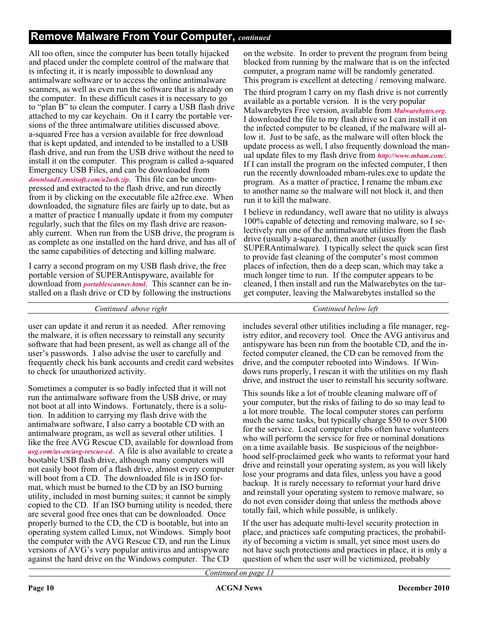#### **Remove Malware From Your Computer,** *continued*

All too often, since the computer has been totally hijacked and placed under the complete control of the malware that is infecting it, it is nearly impossible to download any antimalware software or to access the online antimalware scanners, as well as even run the software that is already on the computer. In these difficult cases it is necessary to go to "plan B" to clean the computer. I carry a USB flash drive attached to my car keychain. On it I carry the portable versions of the three antimalware utilities discussed above. a-squared Free has a version available for free download that is kept updated, and intended to be installed to a USB flash drive, and run from the USB drive without the need to install it on the computer. This program is called a-squared Emergency USB Files, and can be downloaded from *[download1.emsisoft.com/a2usb.zip](http://download1.emsisoft.com/a2usb.zip)*. This file can be uncompressed and extracted to the flash drive, and run directly from it by clicking on the executable file a2free.exe. When downloaded, the signature files are fairly up to date, but as a matter of practice I manually update it from my computer regularly, such that the files on my flash drive are reasonably current. When run from the USB drive, the program is as complete as one installed on the hard drive, and has all of the same capabilities of detecting and killing malware.

I carry a second program on my USB flash drive, the free portable version of SUPERAntispyware, available for download from *[portablescanner.html](http://www.superantispyware.com/portablescanner.html)*. This scanner can be installed on a flash drive or CD by following the instructions

*Continued above right Continued below left*

user can update it and rerun it as needed. After removing the malware, it is often necessary to reinstall any security software that had been present, as well as change all of the user's passwords. I also advise the user to carefully and frequently check his bank accounts and credit card websites to check for unauthorized activity.

Sometimes a computer is so badly infected that it will not run the antimalware software from the USB drive, or may not boot at all into Windows. Fortunately, there is a solution. In addition to carrying my flash drive with the antimalware software, I also carry a bootable CD with an antimalware program, as well as several other utilities. I like the free AVG Rescue CD, available for download from *[avg.com/us-en/avg-rescue-cd](http://www.avg.com/us-en/avg-rescue-cd)*. A file is also available to create a bootable USB flash drive, although many computers will not easily boot from of a flash drive, almost every computer will boot from a CD. The downloaded file is in ISO format, which must be burned to the CD by an ISO burning utility, included in most burning suites; it cannot be simply copied to the CD. If an ISO burning utility is needed, there are several good free ones that can be downloaded. Once properly burned to the CD, the CD is bootable, but into an operating system called Linux, not Windows. Simply boot the computer with the AVG Rescue CD, and run the Linux versions of AVG's very popular antivirus and antispyware against the hard drive on the Windows computer. The CD

on the website. In order to prevent the program from being blocked from running by the malware that is on the infected computer, a program name will be randomly generated. This program is excellent at detecting / removing malware.

The third program I carry on my flash drive is not currently available as a portable version. It is the very popular Malwarebytes Free version, available from *[Malwarebytes.org](http://www.Malwarebytes.org)*. I downloaded the file to my flash drive so I can install it on the infected computer to be cleaned, if the malware will allow it. Just to be safe, as the malware will often block the update process as well, I also frequently download the manual update files to my flash drive from *[http://www.mbam.com/](http://www.mbam.com/database/mbam-rules.exe)*. If I can install the program on the infected computer, I then run the recently downloaded mbam-rules.exe to update the program. As a matter of practice, I rename the mbam.exe to another name so the malware will not block it, and then run it to kill the malware.

I believe in redundancy, well aware that no utility is always 100% capable of detecting and removing malware, so I selectively run one of the antimalware utilities from the flash drive (usually a-squared), then another (usually SUPERAntimalware). I typically select the quick scan first to provide fast cleaning of the computer's most common places of infection, then do a deep scan, which may take a much longer time to run. If the computer appears to be cleaned, I then install and run the Malwarebytes on the target computer, leaving the Malwarebytes installed so the

includes several other utilities including a file manager, registry editor, and recovery tool. Once the AVG antivirus and antispyware has been run from the bootable CD, and the infected computer cleaned, the CD can be removed from the drive, and the computer rebooted into Windows. If Windows runs properly, I rescan it with the utilities on my flash drive, and instruct the user to reinstall his security software.

This sounds like a lot of trouble cleaning malware off of your computer, but the risks of failing to do so may lead to a lot more trouble. The local computer stores can perform much the same tasks, but typically charge \$50 to over \$100 for the service. Local computer clubs often have volunteers who will perform the service for free or nominal donations on a time available basis. Be suspicious of the neighborhood self-proclaimed geek who wants to reformat your hard drive and reinstall your operating system, as you will likely lose your programs and data files, unless you have a good backup. It is rarely necessary to reformat your hard drive and reinstall your operating system to remove malware, so do not even consider doing that unless the methods above totally fail, which while possible, is unlikely.

If the user has adequate multi-level security protection in place, and practices safe computing practices, the probability of becoming a victim is small, yet since most users do not have such protections and practices in place, it is only a question of when the user will be victimized, probably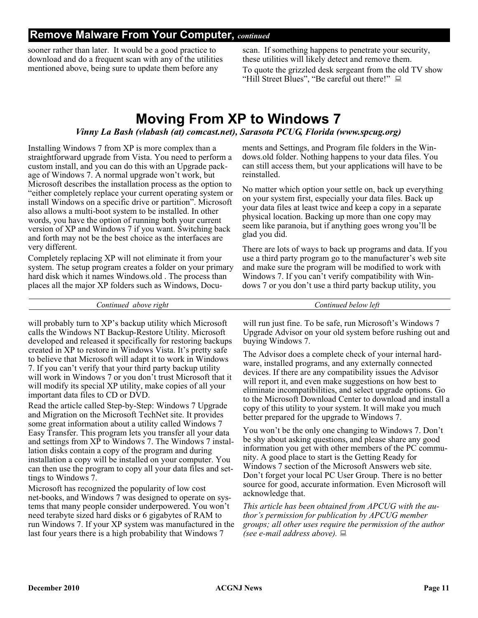#### **Remove Malware From Your Computer,** *continued*

sooner rather than later. It would be a good practice to download and do a frequent scan with any of the utilities mentioned above, being sure to update them before any

scan. If something happens to penetrate your security, these utilities will likely detect and remove them. To quote the grizzled desk sergeant from the old TV show "Hill Street Blues", "Be careful out there!"

## **Moving From XP to Windows 7**

#### *Vinny La Bash (vlabash (at) comcast.net), Sarasota PCUG, Florida (www.spcug.org)*

Installing Windows 7 from XP is more complex than a straightforward upgrade from Vista. You need to perform a custom install, and you can do this with an Upgrade package of Windows 7. A normal upgrade won't work, but Microsoft describes the installation process as the option to "either completely replace your current operating system or install Windows on a specific drive or partition". Microsoft also allows a multi-boot system to be installed. In other words, you have the option of running both your current version of XP and Windows 7 if you want. Switching back and forth may not be the best choice as the interfaces are very different.

Completely replacing XP will not eliminate it from your system. The setup program creates a folder on your primary hard disk which it names Windows.old . The process than places all the major XP folders such as Windows, Documents and Settings, and Program file folders in the Windows.old folder. Nothing happens to your data files. You can still access them, but your applications will have to be reinstalled.

No matter which option your settle on, back up everything on your system first, especially your data files. Back up your data files at least twice and keep a copy in a separate physical location. Backing up more than one copy may seem like paranoia, but if anything goes wrong you'll be glad you did.

There are lots of ways to back up programs and data. If you use a third party program go to the manufacturer's web site and make sure the program will be modified to work with Windows 7. If you can't verify compatibility with Windows 7 or you don't use a third party backup utility, you

*Continued above right Continued below left*

will probably turn to XP's backup utility which Microsoft calls the Windows NT Backup-Restore Utility. Microsoft developed and released it specifically for restoring backups created in XP to restore in Windows Vista. It's pretty safe to believe that Microsoft will adapt it to work in Windows 7. If you can't verify that your third party backup utility will work in Windows 7 or you don't trust Microsoft that it will modify its special XP utility, make copies of all your important data files to CD or DVD.

Read the article called Step-by-Step: Windows 7 Upgrade and Migration on the Microsoft TechNet site. It provides some great information about a utility called Windows 7 Easy Transfer. This program lets you transfer all your data and settings from XP to Windows 7. The Windows 7 installation disks contain a copy of the program and during installation a copy will be installed on your computer. You can then use the program to copy all your data files and settings to Windows 7.

Microsoft has recognized the popularity of low cost net-books, and Windows 7 was designed to operate on systems that many people consider underpowered. You won't need terabyte sized hard disks or 6 gigabytes of RAM to run Windows 7. If your XP system was manufactured in the last four years there is a high probability that Windows 7

will run just fine. To be safe, run Microsoft's Windows 7 Upgrade Advisor on your old system before rushing out and buying Windows 7.

The Advisor does a complete check of your internal hardware, installed programs, and any externally connected devices. If there are any compatibility issues the Advisor will report it, and even make suggestions on how best to eliminate incompatibilities, and select upgrade options. Go to the Microsoft Download Center to download and install a copy of this utility to your system. It will make you much better prepared for the upgrade to Windows 7.

You won't be the only one changing to Windows 7. Don't be shy about asking questions, and please share any good information you get with other members of the PC community. A good place to start is the Getting Ready for Windows 7 section of the Microsoft Answers web site. Don't forget your local PC User Group. There is no better source for good, accurate information. Even Microsoft will acknowledge that.

*This article has been obtained from APCUG with the author's permission for publication by APCUG member groups; all other uses require the permission of the author (see e-mail address above).*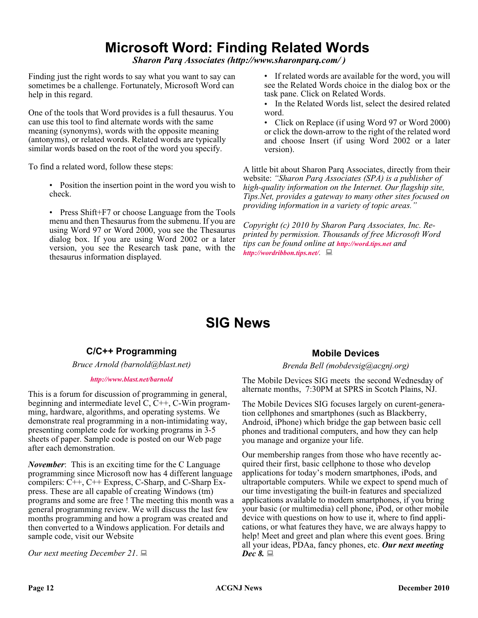## **Microsoft Word: Finding Related Words**

*Sharon Parq Associates (http://www.sharonparq.com/ )*

Finding just the right words to say what you want to say can sometimes be a challenge. Fortunately, Microsoft Word can help in this regard.

One of the tools that Word provides is a full thesaurus. You can use this tool to find alternate words with the same meaning (synonyms), words with the opposite meaning (antonyms), or related words. Related words are typically similar words based on the root of the word you specify.

To find a related word, follow these steps:

• Position the insertion point in the word you wish to check.

• Press Shift+F7 or choose Language from the Tools menu and then Thesaurus from the submenu. If you are using Word 97 or Word 2000, you see the Thesaurus dialog box. If you are using Word 2002 or a later version, you see the Research task pane, with the thesaurus information displayed.

• If related words are available for the word, you will see the Related Words choice in the dialog box or the task pane. Click on Related Words.

• In the Related Words list, select the desired related word.

• Click on Replace (if using Word 97 or Word 2000) or click the down-arrow to the right of the related word and choose Insert (if using Word 2002 or a later version).

A little bit about Sharon Parq Associates, directly from their website: *"Sharon Parq Associates (SPA) is a publisher of high-quality information on the Internet. Our flagship site, Tips.Net, provides a gateway to many other sites focused on providing information in a variety of topic areas."*

*Copyright (c) 2010 by Sharon Parq Associates, Inc. Reprinted by permission. Thousands of free Microsoft Word tips can be found online at <http://word.tips.net> and <http://wordribbon.tips.net/>.*

## **SIG News**

#### **C/C++ Programming**

*Bruce Arnold (barnold@blast.net)*

#### *<http://www.blast.net/barnold>*

This is a forum for discussion of programming in general, beginning and intermediate level  $C, C++, C-W$  in programming, hardware, algorithms, and operating systems. We demonstrate real programming in a non-intimidating way, presenting complete code for working programs in 3-5 sheets of paper. Sample code is posted on our Web page after each demonstration.

*November*: This is an exciting time for the C Language programming since Microsoft now has 4 different language compilers: C++, C++ Express, C-Sharp, and C-Sharp Express. These are all capable of creating Windows (tm) programs and some are free ! The meeting this month was a general programming review. We will discuss the last few months programming and how a program was created and then converted to a Windows application. For details and sample code, visit our Website

*Our next meeting December 21*.

#### **Mobile Devices**

#### *Brenda Bell (mobdevsig@acgnj.org)*

The Mobile Devices SIG meets the second Wednesday of alternate months, 7:30PM at SPRS in Scotch Plains, NJ.

The Mobile Devices SIG focuses largely on curent-generation cellphones and smartphones (such as Blackberry, Android, iPhone) which bridge the gap between basic cell phones and traditional computers, and how they can help you manage and organize your life.

Our membership ranges from those who have recently acquired their first, basic cellphone to those who develop applications for today's modern smartphones, iPods, and ultraportable computers. While we expect to spend much of our time investigating the built-in features and specialized applications available to modern smartphones, if you bring your basic (or multimedia) cell phone, iPod, or other mobile device with questions on how to use it, where to find applications, or what features they have, we are always happy to help! Meet and greet and plan where this event goes. Bring all your ideas, PDAa, fancy phones, etc. *Our next meeting Dec 8.*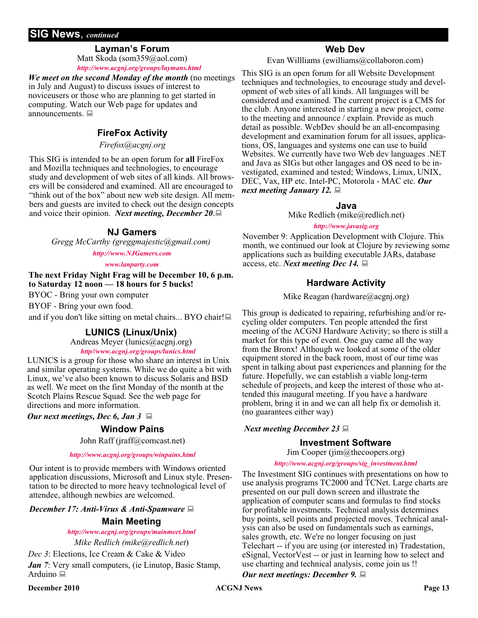#### **SIG News**, *continued*

#### **Layman's Forum**

Matt Skoda (som359@aol.com) *<http://www.acgnj.org/groups/laymans.html>*

*We meet on the second Monday of the month* (no meetings in July and August) to discuss issues of interest to noviceusers or those who are planning to get started in computing. Watch our Web page for updates and announcements.  $\Box$ 

#### **FireFox Activity**

*Firefox@acgnj.org*

This SIG is intended to be an open forum for **all** FireFox and Mozilla techniques and technologies, to encourage study and development of web sites of all kinds. All browsers will be considered and examined. All are encouraged to "think out of the box" about new web site design. All members and guests are invited to check out the design concepts and voice their opinion. *Next meeting, December 20*.

#### **NJ Gamers**

*Gregg McCarthy (greggmajestic@gmail.com)*

*<http://www.NJGamers.com>*

*[www.lanparty.com](http://www.lanparty.com)*

**The next Friday Night Frag will be December 10, 6 p.m. to Saturday 12 noon — 18 hours for 5 bucks!**

BYOC - Bring your own computer

BYOF - Bring your own food.

and if you don't like sitting on metal chairs... BYO chair!

#### **LUNICS (Linux/Unix)**

Andreas Meyer (lunics@acgnj.org)

*<http//www.acgnj.org/groups/lunics.html>*

LUNICS is a group for those who share an interest in Unix and similar operating systems. While we do quite a bit with Linux, we've also been known to discuss Solaris and BSD as well. We meet on the first Monday of the month at the Scotch Plains Rescue Squad. See the web page for directions and more information.

*Our next meetings, Dec 6, Jan 3*

#### **Window Pains**

John Raff (jraff@comcast.net)

#### *<http://www.acgnj.org/groups/winpains.html>*

Our intent is to provide members with Windows oriented application discussions, Microsoft and Linux style. Presentation to be directed to more heavy technological level of attendee, although newbies are welcomed.

*December 17: Anti-Virus & Anti-Spamware*

#### **Main Meeting**

*<http://www.acgnj.org/groups/mainmeet.html>*

*Mike Redlich (mike@redlich.net*)

*Dec 3*: Elections, Ice Cream & Cake & Video

*Jan 7*: Very small computers, (ie Linutop, Basic Stamp, Arduino

#### **Web Dev**

Evan Willliams (ewilliams@collaboron.com)

This SIG is an open forum for all Website Development techniques and technologies, to encourage study and development of web sites of all kinds. All languages will be considered and examined. The current project is a CMS for the club. Anyone interested in starting a new project, come to the meeting and announce / explain. Provide as much detail as possible. WebDev should be an all-encompasing development and examination forum for all issues, applications, OS, languages and systems one can use to build Websites. We currently have two Web dev languages .NET and Java as SIGs but other langages and OS need to be investigated, examined and tested; Windows, Linux, UNIX, DEC, Vax, HP etc. Intel-PC, Motorola - MAC etc. *Our next meeting January 12.*

#### **Java**

Mike Redlich (mike@redlich.net)

#### *<http://www.javasig.org>*

November 9: Application Development with Clojure. This month, we continued our look at Clojure by reviewing some applications such as building executable JARs, database access, etc. *Next meeting Dec 14.*

#### **Hardware Activity**

Mike Reagan (hardware@acgnj.org)

This group is dedicated to repairing, refurbishing and/or recycling older computers. Ten people attended the first meeting of the ACGNJ Hardware Activity; so there is still a market for this type of event. One guy came all the way from the Bronx! Although we looked at some of the older equipment stored in the back room, most of our time was spent in talking about past experiences and planning for the future. Hopefully, we can establish a viable long-term schedule of projects, and keep the interest of those who attended this inaugural meeting. If you have a hardware problem, bring it in and we can all help fix or demolish it. (no guarantees either way)

#### *Next meeting December 23*

#### **Investment Software**

Jim Cooper (jim@thecoopers.org)

#### *[http://www.acgnj.org/groups/sig\\_investment.html](http://www.acgnj.org/groups/sig_investment.html)*

The Investment SIG continues with presentations on how to use analysis programs TC2000 and TCNet. Large charts are presented on our pull down screen and illustrate the application of computer scans and formulas to find stocks for profitable investments. Technical analysis determines buy points, sell points and projected moves. Technical analysis can also be used on fundamentals such as earnings, sales growth, etc. We're no longer focusing on just Telechart -- if you are using (or interested in) Tradestation, eSignal, VectorVest -- or just in learning how to select and use charting and technical analysis, come join us !!

#### *Our next meetings: December 9.*

**December 2010 CONS Page 13 Page 13 Page 13 Page 13**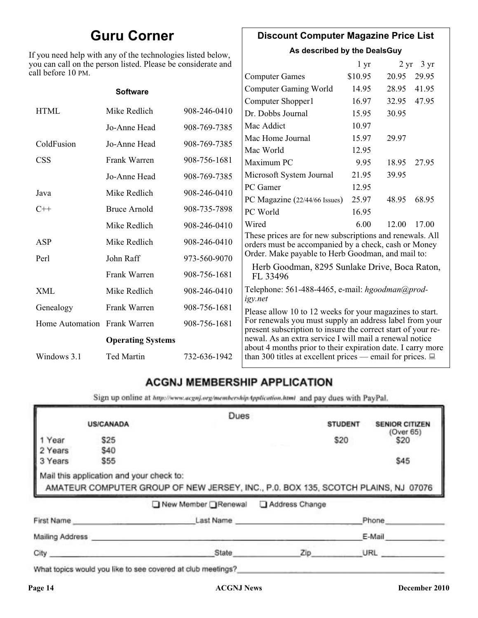## **Guru Corner**

If you need help with any of the technologies listed below, you can call on the person listed. Please be considerate and ca

#### **Discount Computer Magazine Price List**

**As described by the DealsGuy**

|                              | ou can call on the person listed. Please be considerate and |              |                                                                                                                         | 1 <sub>yr</sub> |       | $2 \text{ yr}$ 3 yr |
|------------------------------|-------------------------------------------------------------|--------------|-------------------------------------------------------------------------------------------------------------------------|-----------------|-------|---------------------|
| ll before 10 PM.             |                                                             |              | <b>Computer Games</b>                                                                                                   | \$10.95         | 20.95 | 29.95               |
|                              | <b>Software</b>                                             |              | <b>Computer Gaming World</b>                                                                                            | 14.95           | 28.95 | 41.95               |
|                              |                                                             |              | Computer Shopper1                                                                                                       | 16.97           | 32.95 | 47.95               |
| <b>HTML</b>                  | Mike Redlich                                                | 908-246-0410 | Dr. Dobbs Journal                                                                                                       | 15.95           | 30.95 |                     |
|                              | Jo-Anne Head                                                | 908-769-7385 | Mac Addict                                                                                                              | 10.97           |       |                     |
| ColdFusion                   | Jo-Anne Head                                                | 908-769-7385 | Mac Home Journal                                                                                                        | 15.97           | 29.97 |                     |
|                              |                                                             |              | Mac World                                                                                                               | 12.95           |       |                     |
| CSS                          | Frank Warren                                                | 908-756-1681 | Maximum PC                                                                                                              | 9.95            | 18.95 | 27.95               |
|                              | Jo-Anne Head                                                | 908-769-7385 | Microsoft System Journal                                                                                                | 21.95           | 39.95 |                     |
| Java                         | Mike Redlich                                                | 908-246-0410 | PC Gamer                                                                                                                | 12.95           |       |                     |
|                              |                                                             |              | PC Magazine (22/44/66 Issues)                                                                                           | 25.97           | 48.95 | 68.95               |
| $C++$                        | <b>Bruce Arnold</b>                                         | 908-735-7898 | PC World                                                                                                                | 16.95           |       |                     |
|                              | Mike Redlich                                                | 908-246-0410 | Wired                                                                                                                   | 6.00            | 12.00 | 17.00               |
| ASP                          | Mike Redlich                                                | 908-246-0410 | These prices are for new subscriptions and renewals. All<br>orders must be accompanied by a check, cash or Money        |                 |       |                     |
| Perl<br>John Raff            |                                                             | 973-560-9070 | Order. Make payable to Herb Goodman, and mail to:                                                                       |                 |       |                     |
|                              | Frank Warren                                                | 908-756-1681 | Herb Goodman, 8295 Sunlake Drive, Boca Raton,<br>FL 33496                                                               |                 |       |                     |
| XML                          | Mike Redlich                                                | 908-246-0410 | Telephone: 561-488-4465, e-mail: hgoodman@prod-<br>igy.net                                                              |                 |       |                     |
| Genealogy                    | Frank Warren                                                | 908-756-1681 | Please allow 10 to 12 weeks for your magazines to start.                                                                |                 |       |                     |
| Home Automation Frank Warren |                                                             | 908-756-1681 | For renewals you must supply an address label from your<br>present subscription to insure the correct start of your re- |                 |       |                     |
| <b>Operating Systems</b>     |                                                             |              | newal. As an extra service I will mail a renewal notice<br>about 4 months prior to their expiration date. I carry more  |                 |       |                     |
| Windows 3.1                  | <b>Ted Martin</b>                                           | 732-636-1942 | than 300 titles at excellent prices — email for prices. $\Box$                                                          |                 |       |                     |

#### **ACGNJ MEMBERSHIP APPLICATION**

Sign up online at http://www.acguj.org/membershipApplication.html and pay dues with PayPal.

|                 |                  |                                                                                                                               | Dues      |                |                       |
|-----------------|------------------|-------------------------------------------------------------------------------------------------------------------------------|-----------|----------------|-----------------------|
|                 | <b>US/CANADA</b> |                                                                                                                               |           | <b>STUDENT</b> | <b>SENIOR CITIZEN</b> |
| 1 Year          | \$25             |                                                                                                                               |           | \$20           | (Over 65)<br>\$20     |
| 2 Years         | \$40             |                                                                                                                               |           |                |                       |
| 3 Years         | \$55             |                                                                                                                               |           |                | \$45                  |
|                 |                  | Mail this application and your check to:<br>AMATEUR COMPUTER GROUP OF NEW JERSEY, INC., P.0. BOX 135, SCOTCH PLAINS, NJ 07076 |           |                |                       |
|                 |                  | New Member Renewal Address Change                                                                                             |           |                |                       |
|                 | First Name       |                                                                                                                               | Last Name |                | Phone                 |
| Mailing Address |                  |                                                                                                                               |           |                | E-Mail                |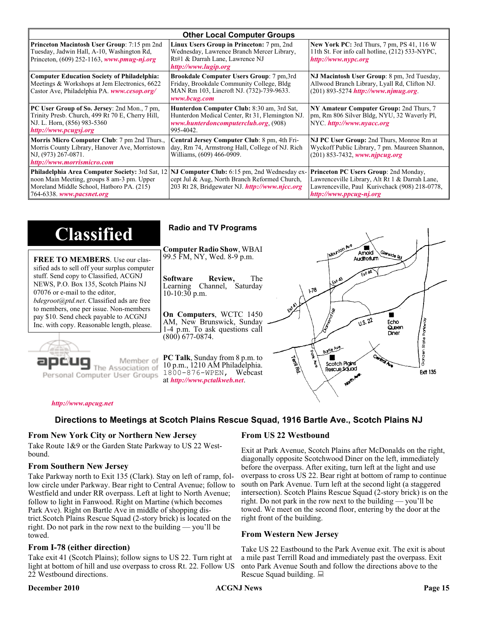| <b>Other Local Computer Groups</b>                                                                                                                                             |                                                                                                                                                           |                                                                                                                                                                      |  |
|--------------------------------------------------------------------------------------------------------------------------------------------------------------------------------|-----------------------------------------------------------------------------------------------------------------------------------------------------------|----------------------------------------------------------------------------------------------------------------------------------------------------------------------|--|
| <b>Princeton Macintosh User Group:</b> 7:15 pm 2nd<br>Tuesday, Jadwin Hall, A-10, Washington Rd,<br>Princeton, $(609)$ 252-1163, www.pmug-nj.org                               | Linux Users Group in Princeton: 7 pm, 2nd<br>Wednesday, Lawrence Branch Mercer Library,<br>Rt#1 & Darrah Lane, Lawrence NJ<br>http://www.lugip.org        | <b>New York PC:</b> 3rd Thurs, 7 pm, PS 41, 116 W<br>11th St. For info call hotline, (212) 533-NYPC,<br>http://www.nypc.org                                          |  |
| <b>Computer Education Society of Philadelphia:</b><br>Meetings & Workshops at Jem Electronics, 6622<br>Castor Ave, Philadelphia PA. www.cesop.org/                             | <b>Brookdale Computer Users Group:</b> 7 pm, 3rd<br>Friday, Brookdale Community College, Bldg<br>MAN Rm 103, Lincroft NJ. (732)-739-9633.<br>www.bcug.com | NJ Macintosh User Group: 8 pm, 3rd Tuesday,<br>Allwood Branch Library, Lyall Rd, Clifton NJ.<br>$(201) 893 - 5274$ http://www.njmug.org.                             |  |
| PC User Group of So. Jersey: 2nd Mon., 7 pm,<br>Trinity Presb. Church, 499 Rt 70 E, Cherry Hill,<br>NJ. L. Horn, (856) 983-5360<br>http://www.pcugsj.org                       | Hunterdon Computer Club: 8:30 am, 3rd Sat,<br>Hunterdon Medical Center, Rt 31, Flemington NJ.<br>www.hunterdoncomputerclub.org. (908)<br>995-4042.        | NY Amateur Computer Group: 2nd Thurs, 7<br>pm, Rm 806 Silver Bldg, NYU, 32 Waverly Pl,<br>NYC http://www.nyacc.org                                                   |  |
| Morris Micro Computer Club: 7 pm 2nd Thurs.,<br>Morris County Library, Hanover Ave, Morristown<br>NJ, (973) 267-0871.<br>http://www.morrismicro.com                            | Central Jersey Computer Club: 8 pm, 4th Fri-<br>day, Rm 74, Armstrong Hall, College of NJ. Rich<br>Williams, (609) 466-0909.                              | NJ PC User Group: 2nd Thurs, Monroe Rm at<br>Wyckoff Public Library, 7 pm. Maureen Shannon,<br>$(201)$ 853-7432, www.njpcug.org                                      |  |
| <b>Philadelphia Area Computer Society: 3rd Sat, 12</b><br>noon Main Meeting, groups 8 am-3 pm. Upper<br>Moreland Middle School, Hatboro PA. (215)<br>764-6338. www.pacsnet.org | NJ Computer Club: 6:15 pm, 2nd Wednesday ex-<br>cept Jul & Aug, North Branch Reformed Church,<br>203 Rt 28, Bridgewater NJ <i>http://www.njcc.org</i>     | Princeton PC Users Group: 2nd Monday,<br>Lawrenceville Library, Alt Rt 1 & Darrah Lane,<br>Lawrenceville, Paul Kurivchack (908) 218-0778,<br>http://www.ppcug-nj.org |  |

| <b>Classified</b>                                                                                                                                                                                                                                                                                                                                                                             | <b>Radio and TV Programs</b>                                                                                                                                                                                                                                                                                                |
|-----------------------------------------------------------------------------------------------------------------------------------------------------------------------------------------------------------------------------------------------------------------------------------------------------------------------------------------------------------------------------------------------|-----------------------------------------------------------------------------------------------------------------------------------------------------------------------------------------------------------------------------------------------------------------------------------------------------------------------------|
| <b>FREE TO MEMBERS.</b> Use our clas-<br>sified ads to sell off your surplus computer<br>stuff. Send copy to Classified, ACGNJ<br>NEWS, P.O. Box 135, Scotch Plains NJ<br>07076 or e-mail to the editor,<br><i>bdegroot@ptd.net.</i> Classified ads are free<br>to members, one per issue. Non-members<br>pay \$10. Send check payable to ACGNJ<br>Inc. with copy. Reasonable length, please. | Wanton Ave<br><b>Computer Radio Show, WBAI</b><br>Amold<br>Slenside Rd<br>99.5 FM, NY, Wed. 8-9 p.m.<br>The<br><b>Software</b><br>Review,<br>LEXA A3<br>Channel, Saturday<br>Learning<br>178<br>10-10:30 p.m.<br>On Computers, WCTC 1450<br>0.5.22<br>AM, New Brunswick, Sunday<br>Echo                                     |
| Member of<br>ssociation of<br>Personal Computer User Groups                                                                                                                                                                                                                                                                                                                                   | Queen<br>1-4 p.m. To ask questions call<br>Diner<br>(800) 677-0874.<br>ti<br>tā<br>Borlo Ave<br>ð<br>Cantrol Ave<br><b>PC Talk, Sunday from 8 p.m. to</b><br>Territor<br>Scotch Pigins<br>10 p.m., 1210 AM Philadelphia.<br>Rescue Sound<br><b>Ext1 135</b><br>1800-876-WPEN, Webcast<br>at http://www.pctalkweb.net.<br>√⊄ |

#### *<http://www.apcug.net>*

#### **Directions to Meetings at Scotch Plains Rescue Squad, 1916 Bartle Ave., Scotch Plains NJ**

#### **From New York City or Northern New Jersey**

Take Route 1&9 or the Garden State Parkway to US 22 Westbound.

#### **From Southern New Jersey**

Take Parkway north to Exit 135 (Clark). Stay on left of ramp, follow circle under Parkway. Bear right to Central Avenue; follow to Westfield and under RR overpass. Left at light to North Avenue; follow to light in Fanwood. Right on Martine (which becomes Park Ave). Right on Bartle Ave in middle of shopping district.Scotch Plains Rescue Squad (2-story brick) is located on the right. Do not park in the row next to the building — you'll be towed.

#### **From I-78 (either direction)**

Take exit 41 (Scotch Plains); follow signs to US 22. Turn right at light at bottom of hill and use overpass to cross Rt. 22. Follow US 22 Westbound directions.

#### **December 2010 CONS Page 15 Page 15 Page 15 Page 16 Page 16 Page 16 Page 16 Page 16**

#### **From US 22 Westbound**

Exit at Park Avenue, Scotch Plains after McDonalds on the right, diagonally opposite Scotchwood Diner on the left, immediately before the overpass. After exiting, turn left at the light and use overpass to cross US 22. Bear right at bottom of ramp to continue south on Park Avenue. Turn left at the second light (a staggered intersection). Scotch Plains Rescue Squad (2-story brick) is on the right. Do not park in the row next to the building — you'll be towed. We meet on the second floor, entering by the door at the right front of the building.

#### **From Western New Jersey**

Take US 22 Eastbound to the Park Avenue exit. The exit is about a mile past Terrill Road and immediately past the overpass. Exit onto Park Avenue South and follow the directions above to the Rescue Squad building.